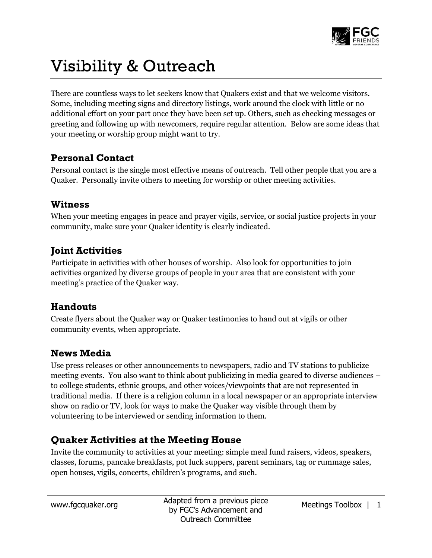

# Visibility & Outreach

There are countless ways to let seekers know that Quakers exist and that we welcome visitors. Some, including meeting signs and directory listings, work around the clock with little or no additional effort on your part once they have been set up. Others, such as checking messages or greeting and following up with newcomers, require regular attention. Below are some ideas that your meeting or worship group might want to try.

# **Personal Contact**

Personal contact is the single most effective means of outreach. Tell other people that you are a Quaker. Personally invite others to meeting for worship or other meeting activities.

#### **Witness**

When your meeting engages in peace and prayer vigils, service, or social justice projects in your community, make sure your Quaker identity is clearly indicated.

# **Joint Activities**

Participate in activities with other houses of worship. Also look for opportunities to join activities organized by diverse groups of people in your area that are consistent with your meeting's practice of the Quaker way.

#### **Handouts**

Create flyers about the Quaker way or Quaker testimonies to hand out at vigils or other community events, when appropriate.

#### **News Media**

Use press releases or other announcements to newspapers, radio and TV stations to publicize meeting events. You also want to think about publicizing in media geared to diverse audiences – to college students, ethnic groups, and other voices/viewpoints that are not represented in traditional media. If there is a religion column in a local newspaper or an appropriate interview show on radio or TV, look for ways to make the Quaker way visible through them by volunteering to be interviewed or sending information to them.

# **Quaker Activities at the Meeting House**

Invite the community to activities at your meeting: simple meal fund raisers, videos, speakers, classes, forums, pancake breakfasts, pot luck suppers, parent seminars, tag or rummage sales, open houses, vigils, concerts, children's programs, and such.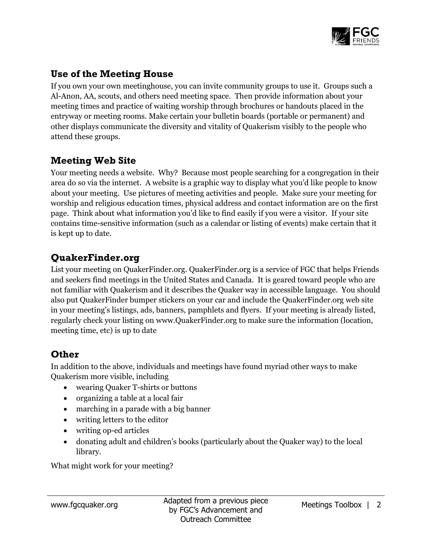

# **Use of the Meeting House**

If you own your own meetinghouse, you can invite community groups to use it. Groups such a Al-Anon, AA, scouts, and others need meeting space. Then provide information about your meeting times and practice of waiting worship through brochures or handouts placed in the entryway or meeting rooms. Make certain your bulletin boards (portable or permanent) and other displays communicate the diversity and vitality of Quakerism visibly to the people who attend these groups.

# **Meeting Web Site**

Your meeting needs a website. Why? Because most people searching for a congregation in their area do so via the internet. A website is a graphic way to display what you'd like people to know about your meeting. Use pictures of meeting activities and people. Make sure your meeting for worship and religious education times, physical address and contact information are on the first page. Think about what information you'd like to find easily if you were a visitor. If your site contains time-sensitive information (such as a calendar or listing of events) make certain that it is kept up to date.

# **QuakerFinder.org**

List your meeting on QuakerFinder.org. QuakerFinder.org is a service of FGC that helps Friends and seekers find meetings in the United States and Canada. It is geared toward people who are not familiar with Quakerism and it describes the Quaker way in accessible language. You should also put QuakerFinder bumper stickers on your car and include the QuakerFinder.org web site in your meeting's listings, ads, banners, pamphlets and flyers. If your meeting is already listed, regularly check your listing on www.QuakerFinder.org to make sure the information (location, meeting time, etc) is up to date

# **Other**

In addition to the above, individuals and meetings have found myriad other ways to make Quakerism more visible, including

- wearing Quaker T-shirts or buttons
- organizing a table at a local fair
- marching in a parade with a big banner
- writing letters to the editor
- writing op-ed articles
- donating adult and children's books (particularly about the Quaker way) to the local library.

What might work for your meeting?